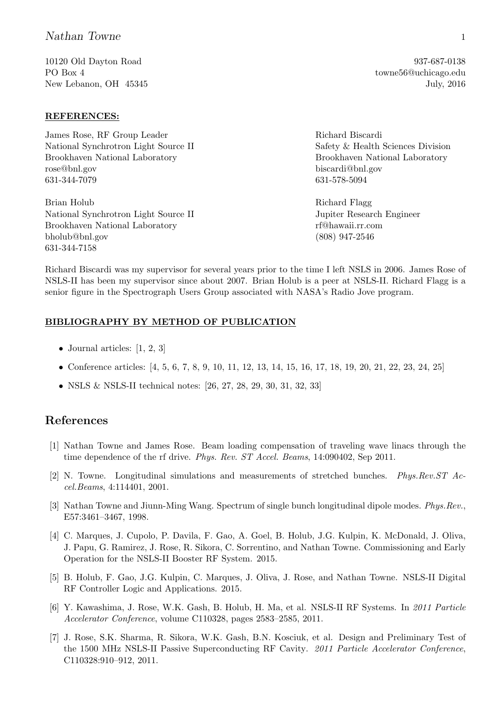## Nathan Towne 1

10120 Old Dayton Road PO Box 4 New Lebanon, OH 45345

## REFERENCES:

James Rose, RF Group Leader National Synchrotron Light Source II Brookhaven National Laboratory rose@bnl.gov 631-344-7079

Brian Holub National Synchrotron Light Source II Brookhaven National Laboratory bholub@bnl.gov 631-344-7158

Richard Biscardi Safety & Health Sciences Division Brookhaven National Laboratory biscardi@bnl.gov 631-578-5094

Richard Flagg Jupiter Research Engineer rf@hawaii.rr.com (808) 947-2546

Richard Biscardi was my supervisor for several years prior to the time I left NSLS in 2006. James Rose of NSLS-II has been my supervisor since about 2007. Brian Holub is a peer at NSLS-II. Richard Flagg is a senior figure in the Spectrograph Users Group associated with NASA's Radio Jove program.

## BIBLIOGRAPHY BY METHOD OF PUBLICATION

- Journal articles:  $[1, 2, 3]$
- Conference articles: [4, 5, 6, 7, 8, 9, 10, 11, 12, 13, 14, 15, 16, 17, 18, 19, 20, 21, 22, 23, 24, 25]
- NSLS & NSLS-II technical notes: [26, 27, 28, 29, 30, 31, 32, 33]

## References

- [1] Nathan Towne and James Rose. Beam loading compensation of traveling wave linacs through the time dependence of the rf drive. *Phys. Rev. ST Accel. Beams*, 14:090402, Sep 2011.
- [2] N. Towne. Longitudinal simulations and measurements of stretched bunches. Phys.Rev.ST Accel.Beams, 4:114401, 2001.
- [3] Nathan Towne and Jiunn-Ming Wang. Spectrum of single bunch longitudinal dipole modes. Phys.Rev., E57:3461–3467, 1998.
- [4] C. Marques, J. Cupolo, P. Davila, F. Gao, A. Goel, B. Holub, J.G. Kulpin, K. McDonald, J. Oliva, J. Papu, G. Ramirez, J. Rose, R. Sikora, C. Sorrentino, and Nathan Towne. Commissioning and Early Operation for the NSLS-II Booster RF System. 2015.
- [5] B. Holub, F. Gao, J.G. Kulpin, C. Marques, J. Oliva, J. Rose, and Nathan Towne. NSLS-II Digital RF Controller Logic and Applications. 2015.
- [6] Y. Kawashima, J. Rose, W.K. Gash, B. Holub, H. Ma, et al. NSLS-II RF Systems. In 2011 Particle Accelerator Conference, volume C110328, pages 2583–2585, 2011.
- [7] J. Rose, S.K. Sharma, R. Sikora, W.K. Gash, B.N. Kosciuk, et al. Design and Preliminary Test of the 1500 MHz NSLS-II Passive Superconducting RF Cavity. 2011 Particle Accelerator Conference, C110328:910–912, 2011.

937-687-0138 towne56@uchicago.edu July, 2016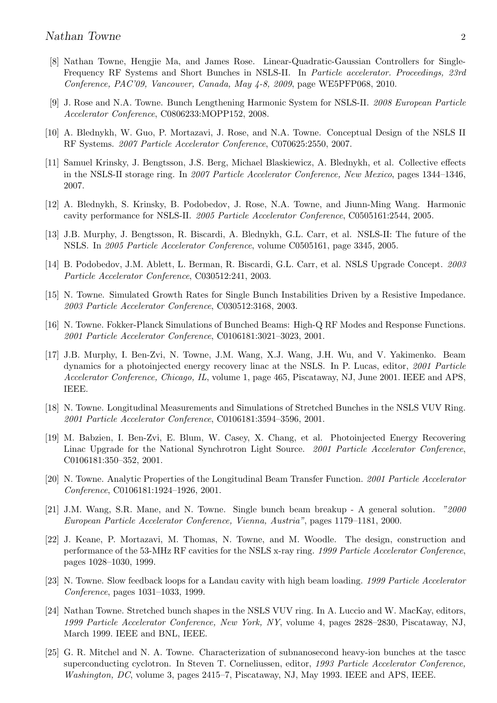- [8] Nathan Towne, Hengjie Ma, and James Rose. Linear-Quadratic-Gaussian Controllers for Single-Frequency RF Systems and Short Bunches in NSLS-II. In Particle accelerator. Proceedings, 23rd Conference, PAC'09, Vancouver, Canada, May 4-8, 2009, page WE5PFP068, 2010.
- [9] J. Rose and N.A. Towne. Bunch Lengthening Harmonic System for NSLS-II. 2008 European Particle Accelerator Conference, C0806233:MOPP152, 2008.
- [10] A. Blednykh, W. Guo, P. Mortazavi, J. Rose, and N.A. Towne. Conceptual Design of the NSLS II RF Systems. 2007 Particle Accelerator Conference, C070625:2550, 2007.
- [11] Samuel Krinsky, J. Bengtsson, J.S. Berg, Michael Blaskiewicz, A. Blednykh, et al. Collective effects in the NSLS-II storage ring. In 2007 Particle Accelerator Conference, New Mexico, pages 1344–1346, 2007.
- [12] A. Blednykh, S. Krinsky, B. Podobedov, J. Rose, N.A. Towne, and Jiunn-Ming Wang. Harmonic cavity performance for NSLS-II. 2005 Particle Accelerator Conference, C0505161:2544, 2005.
- [13] J.B. Murphy, J. Bengtsson, R. Biscardi, A. Blednykh, G.L. Carr, et al. NSLS-II: The future of the NSLS. In 2005 Particle Accelerator Conference, volume C0505161, page 3345, 2005.
- [14] B. Podobedov, J.M. Ablett, L. Berman, R. Biscardi, G.L. Carr, et al. NSLS Upgrade Concept. 2003 Particle Accelerator Conference, C030512:241, 2003.
- [15] N. Towne. Simulated Growth Rates for Single Bunch Instabilities Driven by a Resistive Impedance. 2003 Particle Accelerator Conference, C030512:3168, 2003.
- [16] N. Towne. Fokker-Planck Simulations of Bunched Beams: High-Q RF Modes and Response Functions. 2001 Particle Accelerator Conference, C0106181:3021–3023, 2001.
- [17] J.B. Murphy, I. Ben-Zvi, N. Towne, J.M. Wang, X.J. Wang, J.H. Wu, and V. Yakimenko. Beam dynamics for a photoinjected energy recovery linac at the NSLS. In P. Lucas, editor, 2001 Particle Accelerator Conference, Chicago, IL, volume 1, page 465, Piscataway, NJ, June 2001. IEEE and APS, IEEE.
- [18] N. Towne. Longitudinal Measurements and Simulations of Stretched Bunches in the NSLS VUV Ring. 2001 Particle Accelerator Conference, C0106181:3594–3596, 2001.
- [19] M. Babzien, I. Ben-Zvi, E. Blum, W. Casey, X. Chang, et al. Photoinjected Energy Recovering Linac Upgrade for the National Synchrotron Light Source. 2001 Particle Accelerator Conference, C0106181:350–352, 2001.
- [20] N. Towne. Analytic Properties of the Longitudinal Beam Transfer Function. 2001 Particle Accelerator Conference, C0106181:1924–1926, 2001.
- [21] J.M. Wang, S.R. Mane, and N. Towne. Single bunch beam breakup A general solution. "2000 European Particle Accelerator Conference, Vienna, Austria", pages 1179–1181, 2000.
- [22] J. Keane, P. Mortazavi, M. Thomas, N. Towne, and M. Woodle. The design, construction and performance of the 53-MHz RF cavities for the NSLS x-ray ring. 1999 Particle Accelerator Conference, pages 1028–1030, 1999.
- [23] N. Towne. Slow feedback loops for a Landau cavity with high beam loading. 1999 Particle Accelerator Conference, pages 1031–1033, 1999.
- [24] Nathan Towne. Stretched bunch shapes in the NSLS VUV ring. In A. Luccio and W. MacKay, editors, 1999 Particle Accelerator Conference, New York, NY, volume 4, pages 2828–2830, Piscataway, NJ, March 1999. IEEE and BNL, IEEE.
- [25] G. R. Mitchel and N. A. Towne. Characterization of subnanosecond heavy-ion bunches at the tascc superconducting cyclotron. In Steven T. Corneliussen, editor, 1993 Particle Accelerator Conference, Washington, DC, volume 3, pages 2415–7, Piscataway, NJ, May 1993. IEEE and APS, IEEE.